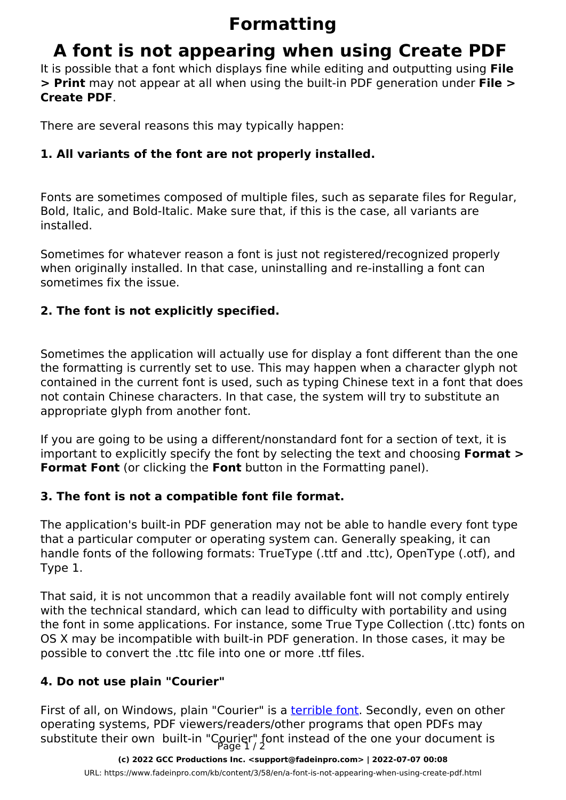# **Formatting**

# **A font is not appearing when using Create PDF**

It is possible that a font which displays fine while editing and outputting using **File > Print** may not appear at all when using the built-in PDF generation under **File > Create PDF**.

There are several reasons this may typically happen:

## **1. All variants of the font are not properly installed.**

Fonts are sometimes composed of multiple files, such as separate files for Regular, Bold, Italic, and Bold-Italic. Make sure that, if this is the case, all variants are installed.

Sometimes for whatever reason a font is just not registered/recognized properly when originally installed. In that case, uninstalling and re-installing a font can sometimes fix the issue.

#### **2. The font is not explicitly specified.**

Sometimes the application will actually use for display a font different than the one the formatting is currently set to use. This may happen when a character glyph not contained in the current font is used, such as typing Chinese text in a font that does not contain Chinese characters. In that case, the system will try to substitute an appropriate glyph from another font.

If you are going to be using a different/nonstandard font for a section of text, it is important to explicitly specify the font by selecting the text and choosing **Format > Format Font** (or clicking the **Font** button in the Formatting panel).

## **3. The font is not a compatible font file format.**

The application's built-in PDF generation may not be able to handle every font type that a particular computer or operating system can. Generally speaking, it can handle fonts of the following formats: TrueType (.ttf and .ttc), OpenType (.otf), and Type 1.

That said, it is not uncommon that a readily available font will not comply entirely with the technical standard, which can lead to difficulty with portability and using the font in some applications. For instance, some True Type Collection (.ttc) fonts on OS X may be incompatible with built-in PDF generation. In those cases, it may be possible to convert the .ttc file into one or more .ttf files.

## **4. Do not use plain "Courier"**

First of all, on Windows, plain "Courier" is a **terrible font**. Secondly, even on other operating systems, PDF viewers/readers/other programs that open PDFs may substitute their own built-in "Courier" font instead of the one your document is